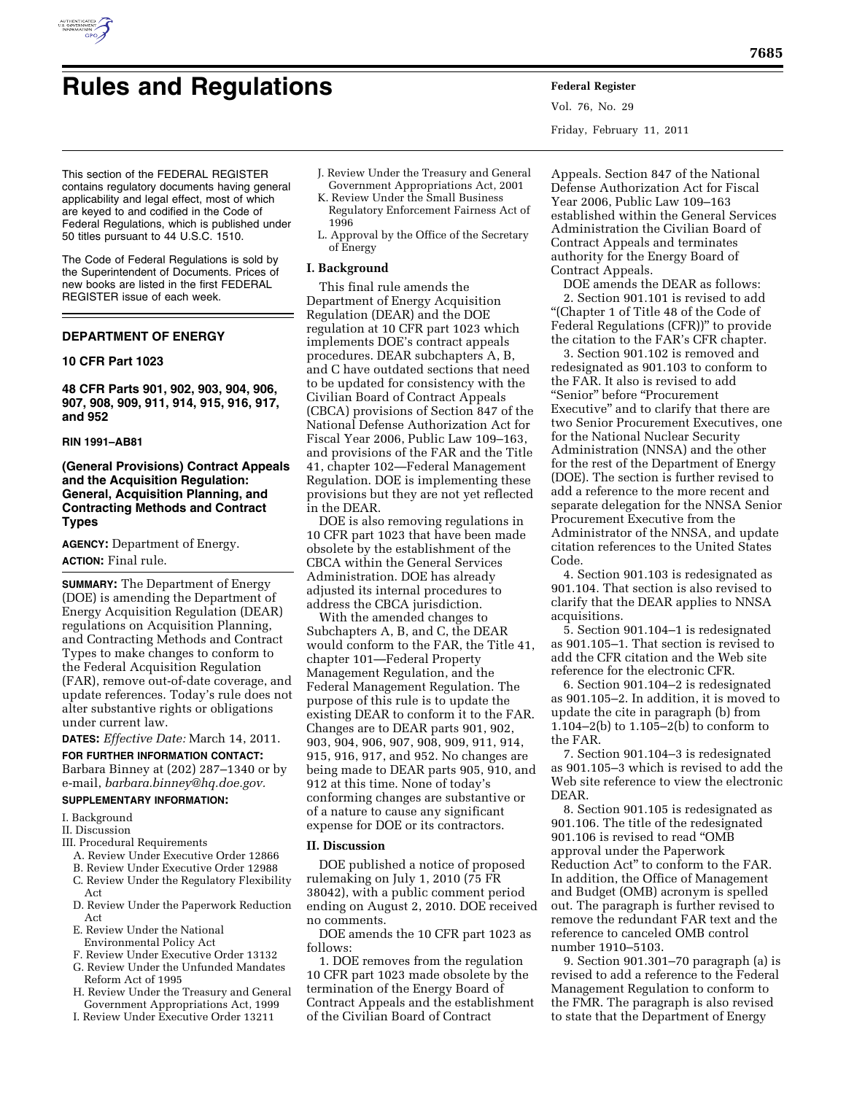

Vol. 76, No. 29 Friday, February 11, 2011

This section of the FEDERAL REGISTER contains regulatory documents having general applicability and legal effect, most of which are keyed to and codified in the Code of Federal Regulations, which is published under 50 titles pursuant to 44 U.S.C. 1510.

The Code of Federal Regulations is sold by the Superintendent of Documents. Prices of new books are listed in the first FEDERAL REGISTER issue of each week.

# **DEPARTMENT OF ENERGY**

### **10 CFR Part 1023**

**48 CFR Parts 901, 902, 903, 904, 906, 907, 908, 909, 911, 914, 915, 916, 917, and 952** 

### **RIN 1991–AB81**

# **(General Provisions) Contract Appeals and the Acquisition Regulation: General, Acquisition Planning, and Contracting Methods and Contract Types**

**AGENCY:** Department of Energy. **ACTION:** Final rule.

**SUMMARY:** The Department of Energy (DOE) is amending the Department of Energy Acquisition Regulation (DEAR) regulations on Acquisition Planning, and Contracting Methods and Contract Types to make changes to conform to the Federal Acquisition Regulation (FAR), remove out-of-date coverage, and update references. Today's rule does not alter substantive rights or obligations under current law.

**DATES:** *Effective Date:* March 14, 2011.

**FOR FURTHER INFORMATION CONTACT:**  Barbara Binney at (202) 287–1340 or by

# e-mail, *[barbara.binney@hq.doe.gov.](mailto:barbara.binney@hq.doe.gov)*  **SUPPLEMENTARY INFORMATION:**

# I. Background

- II. Discussion
- III. Procedural Requirements
- 
- A. Review Under Executive Order 12866 B. Review Under Executive Order 12988
- C. Review Under the Regulatory Flexibility
- Act
- D. Review Under the Paperwork Reduction Act
- E. Review Under the National Environmental Policy Act
- F. Review Under Executive Order 13132
- G. Review Under the Unfunded Mandates Reform Act of 1995
- H. Review Under the Treasury and General Government Appropriations Act, 1999
- I. Review Under Executive Order 13211
- J. Review Under the Treasury and General Government Appropriations Act, 2001
- K. Review Under the Small Business Regulatory Enforcement Fairness Act of 1996
- L. Approval by the Office of the Secretary of Energy

#### **I. Background**

This final rule amends the Department of Energy Acquisition Regulation (DEAR) and the DOE regulation at 10 CFR part 1023 which implements DOE's contract appeals procedures. DEAR subchapters A, B, and C have outdated sections that need to be updated for consistency with the Civilian Board of Contract Appeals (CBCA) provisions of Section 847 of the National Defense Authorization Act for Fiscal Year 2006, Public Law 109–163, and provisions of the FAR and the Title 41, chapter 102—Federal Management Regulation. DOE is implementing these provisions but they are not yet reflected in the DEAR.

DOE is also removing regulations in 10 CFR part 1023 that have been made obsolete by the establishment of the CBCA within the General Services Administration. DOE has already adjusted its internal procedures to address the CBCA jurisdiction.

With the amended changes to Subchapters A, B, and C, the DEAR would conform to the FAR, the Title 41, chapter 101—Federal Property Management Regulation, and the Federal Management Regulation. The purpose of this rule is to update the existing DEAR to conform it to the FAR. Changes are to DEAR parts 901, 902, 903, 904, 906, 907, 908, 909, 911, 914, 915, 916, 917, and 952. No changes are being made to DEAR parts 905, 910, and 912 at this time. None of today's conforming changes are substantive or of a nature to cause any significant expense for DOE or its contractors.

#### **II. Discussion**

DOE published a notice of proposed rulemaking on July 1, 2010 (75 FR 38042), with a public comment period ending on August 2, 2010. DOE received no comments.

DOE amends the 10 CFR part 1023 as follows:

1. DOE removes from the regulation 10 CFR part 1023 made obsolete by the termination of the Energy Board of Contract Appeals and the establishment of the Civilian Board of Contract

Appeals. Section 847 of the National Defense Authorization Act for Fiscal Year 2006, Public Law 109–163 established within the General Services Administration the Civilian Board of Contract Appeals and terminates authority for the Energy Board of Contract Appeals.

DOE amends the DEAR as follows: 2. Section 901.101 is revised to add ''(Chapter 1 of Title 48 of the Code of Federal Regulations (CFR))'' to provide the citation to the FAR's CFR chapter.

3. Section 901.102 is removed and redesignated as 901.103 to conform to the FAR. It also is revised to add ''Senior'' before ''Procurement Executive'' and to clarify that there are two Senior Procurement Executives, one for the National Nuclear Security Administration (NNSA) and the other for the rest of the Department of Energy (DOE). The section is further revised to add a reference to the more recent and separate delegation for the NNSA Senior Procurement Executive from the Administrator of the NNSA, and update citation references to the United States Code.

4. Section 901.103 is redesignated as 901.104. That section is also revised to clarify that the DEAR applies to NNSA acquisitions.

5. Section 901.104–1 is redesignated as 901.105–1. That section is revised to add the CFR citation and the Web site reference for the electronic CFR.

6. Section 901.104–2 is redesignated as 901.105–2. In addition, it is moved to update the cite in paragraph (b) from 1.104–2(b) to 1.105–2(b) to conform to the FAR.

7. Section 901.104–3 is redesignated as 901.105–3 which is revised to add the Web site reference to view the electronic DEAR.

8. Section 901.105 is redesignated as 901.106. The title of the redesignated 901.106 is revised to read ''OMB approval under the Paperwork Reduction Act'' to conform to the FAR. In addition, the Office of Management and Budget (OMB) acronym is spelled out. The paragraph is further revised to remove the redundant FAR text and the reference to canceled OMB control number 1910–5103.

9. Section 901.301–70 paragraph (a) is revised to add a reference to the Federal Management Regulation to conform to the FMR. The paragraph is also revised to state that the Department of Energy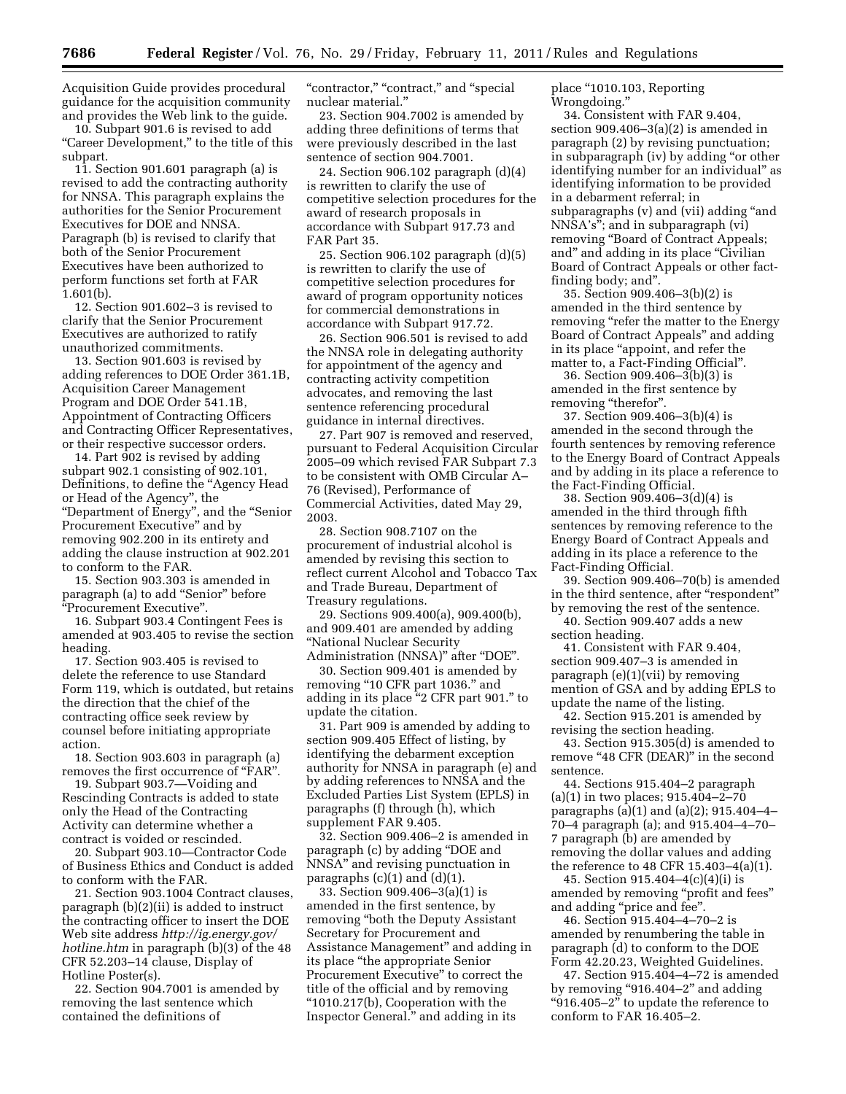Acquisition Guide provides procedural guidance for the acquisition community and provides the Web link to the guide.

10. Subpart 901.6 is revised to add "Career Development," to the title of this subpart.

11. Section 901.601 paragraph (a) is revised to add the contracting authority for NNSA. This paragraph explains the authorities for the Senior Procurement Executives for DOE and NNSA. Paragraph (b) is revised to clarify that both of the Senior Procurement Executives have been authorized to perform functions set forth at FAR 1.601(b).

12. Section 901.602–3 is revised to clarify that the Senior Procurement Executives are authorized to ratify unauthorized commitments.

13. Section 901.603 is revised by adding references to DOE Order 361.1B, Acquisition Career Management Program and DOE Order 541.1B, Appointment of Contracting Officers and Contracting Officer Representatives, or their respective successor orders.

14. Part 902 is revised by adding subpart 902.1 consisting of 902.101, Definitions, to define the ''Agency Head or Head of the Agency'', the ''Department of Energy'', and the ''Senior Procurement Executive'' and by removing 902.200 in its entirety and adding the clause instruction at 902.201 to conform to the FAR.

15. Section 903.303 is amended in paragraph (a) to add ''Senior'' before ''Procurement Executive''.

16. Subpart 903.4 Contingent Fees is amended at 903.405 to revise the section heading.

17. Section 903.405 is revised to delete the reference to use Standard Form 119, which is outdated, but retains the direction that the chief of the contracting office seek review by counsel before initiating appropriate action.

18. Section 903.603 in paragraph (a) removes the first occurrence of ''FAR''.

19. Subpart 903.7—Voiding and Rescinding Contracts is added to state only the Head of the Contracting Activity can determine whether a contract is voided or rescinded.

20. Subpart 903.10—Contractor Code of Business Ethics and Conduct is added to conform with the FAR.

21. Section 903.1004 Contract clauses, paragraph (b)(2)(ii) is added to instruct the contracting officer to insert the DOE Web site address *[http://ig.energy.gov/](http://ig.energy.gov/hotline.htm)  [hotline.htm](http://ig.energy.gov/hotline.htm)* in paragraph (b)(3) of the 48 CFR 52.203–14 clause, Display of Hotline Poster(s).

22. Section 904.7001 is amended by removing the last sentence which contained the definitions of

"contractor," "contract," and "special nuclear material.''

23. Section 904.7002 is amended by adding three definitions of terms that were previously described in the last sentence of section 904.7001.

24. Section 906.102 paragraph (d)(4) is rewritten to clarify the use of competitive selection procedures for the award of research proposals in accordance with Subpart 917.73 and FAR Part 35.

25. Section 906.102 paragraph (d)(5) is rewritten to clarify the use of competitive selection procedures for award of program opportunity notices for commercial demonstrations in accordance with Subpart 917.72.

26. Section 906.501 is revised to add the NNSA role in delegating authority for appointment of the agency and contracting activity competition advocates, and removing the last sentence referencing procedural guidance in internal directives.

27. Part 907 is removed and reserved, pursuant to Federal Acquisition Circular 2005–09 which revised FAR Subpart 7.3 to be consistent with OMB Circular A– 76 (Revised), Performance of Commercial Activities, dated May 29, 2003.

28. Section 908.7107 on the procurement of industrial alcohol is amended by revising this section to reflect current Alcohol and Tobacco Tax and Trade Bureau, Department of Treasury regulations.

29. Sections 909.400(a), 909.400(b), and 909.401 are amended by adding ''National Nuclear Security Administration (NNSA)" after "DOE".

30. Section 909.401 is amended by removing "10 CFR part 1036." and adding in its place ''2 CFR part 901.'' to update the citation.

31. Part 909 is amended by adding to section 909.405 Effect of listing, by identifying the debarment exception authority for NNSA in paragraph (e) and by adding references to NNSA and the Excluded Parties List System (EPLS) in paragraphs (f) through (h), which supplement FAR 9.405.

32. Section 909.406–2 is amended in paragraph (c) by adding ''DOE and NNSA'' and revising punctuation in paragraphs  $(c)(1)$  and  $(d)(1)$ .

33. Section 909.406–3(a)(1) is amended in the first sentence, by removing ''both the Deputy Assistant Secretary for Procurement and Assistance Management'' and adding in its place ''the appropriate Senior Procurement Executive'' to correct the title of the official and by removing ''1010.217(b), Cooperation with the Inspector General.'' and adding in its

place ''1010.103, Reporting Wrongdoing.''

34. Consistent with FAR 9.404, section 909.406–3(a)(2) is amended in paragraph (2) by revising punctuation; in subparagraph (iv) by adding ''or other identifying number for an individual'' as identifying information to be provided in a debarment referral; in subparagraphs (v) and (vii) adding ''and NNSA's''; and in subparagraph (vi) removing ''Board of Contract Appeals; and" and adding in its place "Civilian" Board of Contract Appeals or other factfinding body; and''.

35. Section 909.406–3(b)(2) is amended in the third sentence by removing "refer the matter to the Energy Board of Contract Appeals'' and adding in its place ''appoint, and refer the matter to, a Fact-Finding Official''.

36. Section 909.406–3(b)(3) is amended in the first sentence by removing "therefor".

37. Section 909.406–3(b)(4) is amended in the second through the fourth sentences by removing reference to the Energy Board of Contract Appeals and by adding in its place a reference to the Fact-Finding Official.

38. Section 909.406–3(d)(4) is amended in the third through fifth sentences by removing reference to the Energy Board of Contract Appeals and adding in its place a reference to the Fact-Finding Official.

39. Section 909.406–70(b) is amended in the third sentence, after "respondent" by removing the rest of the sentence.

40. Section 909.407 adds a new section heading.

41. Consistent with FAR 9.404, section 909.407–3 is amended in paragraph (e)(1)(vii) by removing mention of GSA and by adding EPLS to update the name of the listing.

42. Section 915.201 is amended by revising the section heading.

43. Section 915.305(d) is amended to remove "48 CFR (DEAR)" in the second sentence.

44. Sections 915.404–2 paragraph (a)(1) in two places; 915.404–2–70 paragraphs (a)(1) and (a)(2); 915.404–4– 70–4 paragraph (a); and 915.404–4–70– 7 paragraph (b) are amended by removing the dollar values and adding the reference to 48 CFR 15.403–4(a)(1).

45. Section 915.404–4(c)(4)(i) is amended by removing ''profit and fees'' and adding ''price and fee''.

46. Section 915.404–4–70–2 is amended by renumbering the table in paragraph (d) to conform to the DOE Form 42.20.23, Weighted Guidelines.

47. Section 915.404–4–72 is amended by removing "916.404-2" and adding " $916.405 - 2$ " to update the reference to conform to FAR 16.405–2.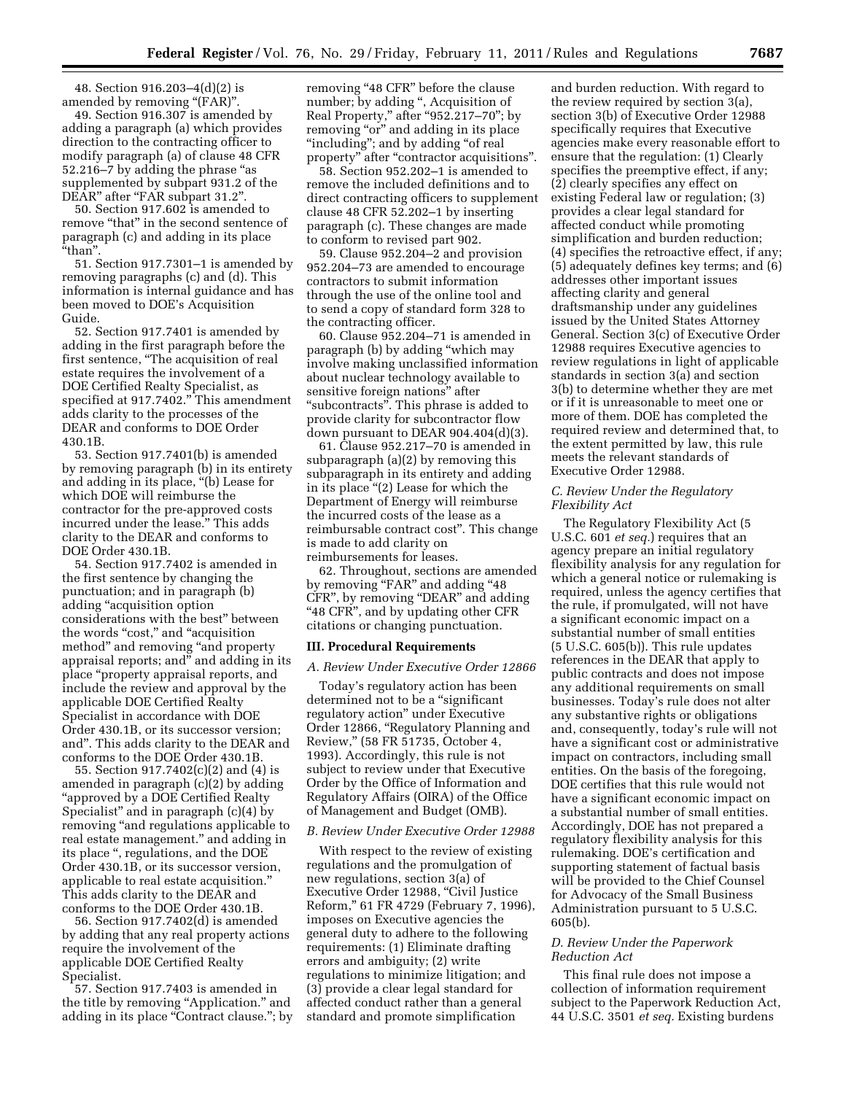48. Section 916.203–4(d)(2) is amended by removing ''(FAR)''.

49. Section 916.307 is amended by adding a paragraph (a) which provides direction to the contracting officer to modify paragraph (a) of clause 48 CFR 52.216–7 by adding the phrase ''as supplemented by subpart 931.2 of the DEAR" after "FAR subpart 31.2"

50. Section 917.602 is amended to remove "that" in the second sentence of paragraph (c) and adding in its place ''than''.

51. Section 917.7301–1 is amended by removing paragraphs (c) and (d). This information is internal guidance and has been moved to DOE's Acquisition Guide.

52. Section 917.7401 is amended by adding in the first paragraph before the first sentence, ''The acquisition of real estate requires the involvement of a DOE Certified Realty Specialist, as specified at 917.7402.'' This amendment adds clarity to the processes of the DEAR and conforms to DOE Order 430.1B.

53. Section 917.7401(b) is amended by removing paragraph (b) in its entirety and adding in its place, ''(b) Lease for which DOE will reimburse the contractor for the pre-approved costs incurred under the lease.'' This adds clarity to the DEAR and conforms to DOE Order 430.1B.

54. Section 917.7402 is amended in the first sentence by changing the punctuation; and in paragraph (b) adding ''acquisition option considerations with the best'' between the words "cost," and "acquisition method'' and removing ''and property appraisal reports; and" and adding in its place ''property appraisal reports, and include the review and approval by the applicable DOE Certified Realty Specialist in accordance with DOE Order 430.1B, or its successor version; and''. This adds clarity to the DEAR and conforms to the DOE Order 430.1B.

55. Section 917.7402(c)(2) and (4) is amended in paragraph (c)(2) by adding ''approved by a DOE Certified Realty Specialist'' and in paragraph (c)(4) by removing ''and regulations applicable to real estate management.'' and adding in its place '', regulations, and the DOE Order 430.1B, or its successor version, applicable to real estate acquisition.'' This adds clarity to the DEAR and conforms to the DOE Order 430.1B.

56. Section 917.7402(d) is amended by adding that any real property actions require the involvement of the applicable DOE Certified Realty Specialist.

57. Section 917.7403 is amended in the title by removing "Application." and adding in its place "Contract clause."; by removing "48 CFR" before the clause number; by adding '', Acquisition of Real Property,'' after ''952.217–70''; by removing "or" and adding in its place "including"; and by adding "of real property" after "contractor acquisitions".

58. Section 952.202–1 is amended to remove the included definitions and to direct contracting officers to supplement clause 48 CFR 52.202–1 by inserting paragraph (c). These changes are made to conform to revised part 902.

59. Clause 952.204–2 and provision 952.204–73 are amended to encourage contractors to submit information through the use of the online tool and to send a copy of standard form 328 to the contracting officer.

60. Clause 952.204–71 is amended in paragraph (b) by adding ''which may involve making unclassified information about nuclear technology available to sensitive foreign nations'' after "subcontracts". This phrase is added to provide clarity for subcontractor flow down pursuant to DEAR 904.404(d)(3).

61. Clause 952.217–70 is amended in subparagraph (a)(2) by removing this subparagraph in its entirety and adding in its place "(2) Lease for which the Department of Energy will reimburse the incurred costs of the lease as a reimbursable contract cost''. This change is made to add clarity on reimbursements for leases.

62. Throughout, sections are amended by removing "FAR" and adding "48 CFR'', by removing ''DEAR'' and adding "48 CFR", and by updating other CFR" citations or changing punctuation.

### **III. Procedural Requirements**

### *A. Review Under Executive Order 12866*

Today's regulatory action has been determined not to be a "significant regulatory action'' under Executive Order 12866, ''Regulatory Planning and Review,'' (58 FR 51735, October 4, 1993). Accordingly, this rule is not subject to review under that Executive Order by the Office of Information and Regulatory Affairs (OIRA) of the Office of Management and Budget (OMB).

#### *B. Review Under Executive Order 12988*

With respect to the review of existing regulations and the promulgation of new regulations, section 3(a) of Executive Order 12988, ''Civil Justice Reform,'' 61 FR 4729 (February 7, 1996), imposes on Executive agencies the general duty to adhere to the following requirements: (1) Eliminate drafting errors and ambiguity; (2) write regulations to minimize litigation; and (3) provide a clear legal standard for affected conduct rather than a general standard and promote simplification

and burden reduction. With regard to the review required by section 3(a), section 3(b) of Executive Order 12988 specifically requires that Executive agencies make every reasonable effort to ensure that the regulation: (1) Clearly specifies the preemptive effect, if any; (2) clearly specifies any effect on existing Federal law or regulation; (3) provides a clear legal standard for affected conduct while promoting simplification and burden reduction; (4) specifies the retroactive effect, if any; (5) adequately defines key terms; and (6) addresses other important issues affecting clarity and general draftsmanship under any guidelines issued by the United States Attorney General. Section 3(c) of Executive Order 12988 requires Executive agencies to review regulations in light of applicable standards in section 3(a) and section 3(b) to determine whether they are met or if it is unreasonable to meet one or more of them. DOE has completed the required review and determined that, to the extent permitted by law, this rule meets the relevant standards of Executive Order 12988.

# *C. Review Under the Regulatory Flexibility Act*

The Regulatory Flexibility Act (5 U.S.C. 601 *et seq.*) requires that an agency prepare an initial regulatory flexibility analysis for any regulation for which a general notice or rulemaking is required, unless the agency certifies that the rule, if promulgated, will not have a significant economic impact on a substantial number of small entities (5 U.S.C. 605(b)). This rule updates references in the DEAR that apply to public contracts and does not impose any additional requirements on small businesses. Today's rule does not alter any substantive rights or obligations and, consequently, today's rule will not have a significant cost or administrative impact on contractors, including small entities. On the basis of the foregoing, DOE certifies that this rule would not have a significant economic impact on a substantial number of small entities. Accordingly, DOE has not prepared a regulatory flexibility analysis for this rulemaking. DOE's certification and supporting statement of factual basis will be provided to the Chief Counsel for Advocacy of the Small Business Administration pursuant to 5 U.S.C. 605(b).

# *D. Review Under the Paperwork Reduction Act*

This final rule does not impose a collection of information requirement subject to the Paperwork Reduction Act, 44 U.S.C. 3501 *et seq.* Existing burdens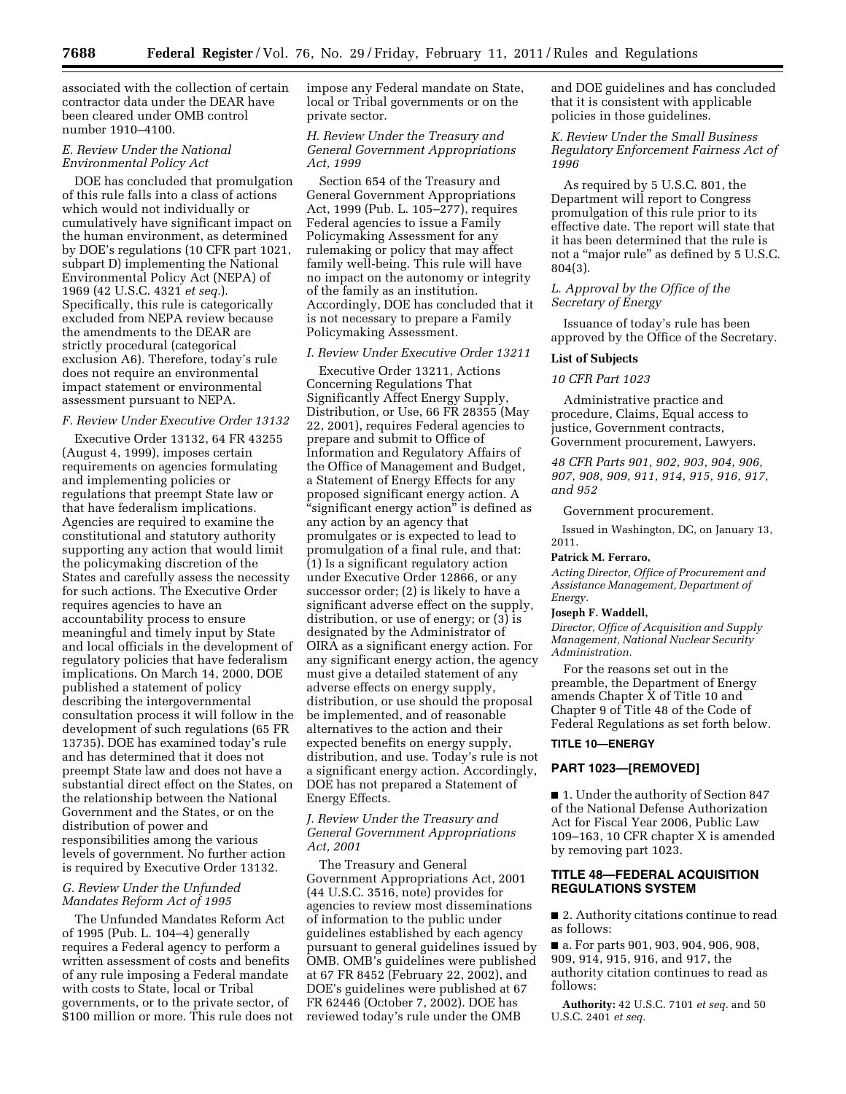associated with the collection of certain contractor data under the DEAR have been cleared under OMB control number 1910–4100.

# *E. Review Under the National Environmental Policy Act*

DOE has concluded that promulgation of this rule falls into a class of actions which would not individually or cumulatively have significant impact on the human environment, as determined by DOE's regulations (10 CFR part 1021, subpart D) implementing the National Environmental Policy Act (NEPA) of 1969 (42 U.S.C. 4321 *et seq.*). Specifically, this rule is categorically excluded from NEPA review because the amendments to the DEAR are strictly procedural (categorical exclusion A6). Therefore, today's rule does not require an environmental impact statement or environmental assessment pursuant to NEPA.

# *F. Review Under Executive Order 13132*

Executive Order 13132, 64 FR 43255 (August 4, 1999), imposes certain requirements on agencies formulating and implementing policies or regulations that preempt State law or that have federalism implications. Agencies are required to examine the constitutional and statutory authority supporting any action that would limit the policymaking discretion of the States and carefully assess the necessity for such actions. The Executive Order requires agencies to have an accountability process to ensure meaningful and timely input by State and local officials in the development of regulatory policies that have federalism implications. On March 14, 2000, DOE published a statement of policy describing the intergovernmental consultation process it will follow in the development of such regulations (65 FR 13735). DOE has examined today's rule and has determined that it does not preempt State law and does not have a substantial direct effect on the States, on the relationship between the National Government and the States, or on the distribution of power and responsibilities among the various levels of government. No further action is required by Executive Order 13132.

# *G. Review Under the Unfunded Mandates Reform Act of 1995*

The Unfunded Mandates Reform Act of 1995 (Pub. L. 104–4) generally requires a Federal agency to perform a written assessment of costs and benefits of any rule imposing a Federal mandate with costs to State, local or Tribal governments, or to the private sector, of \$100 million or more. This rule does not impose any Federal mandate on State, local or Tribal governments or on the private sector.

# *H. Review Under the Treasury and General Government Appropriations Act, 1999*

Section 654 of the Treasury and General Government Appropriations Act, 1999 (Pub. L. 105–277), requires Federal agencies to issue a Family Policymaking Assessment for any rulemaking or policy that may affect family well-being. This rule will have no impact on the autonomy or integrity of the family as an institution. Accordingly, DOE has concluded that it is not necessary to prepare a Family Policymaking Assessment.

# *I. Review Under Executive Order 13211*

Executive Order 13211, Actions Concerning Regulations That Significantly Affect Energy Supply, Distribution, or Use, 66 FR 28355 (May 22, 2001), requires Federal agencies to prepare and submit to Office of Information and Regulatory Affairs of the Office of Management and Budget, a Statement of Energy Effects for any proposed significant energy action. A "significant energy action" is defined as any action by an agency that promulgates or is expected to lead to promulgation of a final rule, and that: (1) Is a significant regulatory action under Executive Order 12866, or any successor order; (2) is likely to have a significant adverse effect on the supply, distribution, or use of energy; or (3) is designated by the Administrator of OIRA as a significant energy action. For any significant energy action, the agency must give a detailed statement of any adverse effects on energy supply, distribution, or use should the proposal be implemented, and of reasonable alternatives to the action and their expected benefits on energy supply, distribution, and use. Today's rule is not a significant energy action. Accordingly, DOE has not prepared a Statement of Energy Effects.

# *J. Review Under the Treasury and General Government Appropriations Act, 2001*

The Treasury and General Government Appropriations Act, 2001 (44 U.S.C. 3516, note) provides for agencies to review most disseminations of information to the public under guidelines established by each agency pursuant to general guidelines issued by OMB. OMB's guidelines were published at 67 FR 8452 (February 22, 2002), and DOE's guidelines were published at 67 FR 62446 (October 7, 2002). DOE has reviewed today's rule under the OMB

and DOE guidelines and has concluded that it is consistent with applicable policies in those guidelines.

*K. Review Under the Small Business Regulatory Enforcement Fairness Act of 1996* 

As required by 5 U.S.C. 801, the Department will report to Congress promulgation of this rule prior to its effective date. The report will state that it has been determined that the rule is not a "major rule" as defined by 5 U.S.C. 804(3).

# *L. Approval by the Office of the Secretary of Energy*

Issuance of today's rule has been approved by the Office of the Secretary.

### **List of Subjects**

# *10 CFR Part 1023*

Administrative practice and procedure, Claims, Equal access to justice, Government contracts, Government procurement, Lawyers.

*48 CFR Parts 901, 902, 903, 904, 906, 907, 908, 909, 911, 914, 915, 916, 917, and 952* 

### Government procurement.

Issued in Washington, DC, on January 13, 2011.

### **Patrick M. Ferraro,**

*Acting Director, Office of Procurement and Assistance Management, Department of Energy.* 

# **Joseph F. Waddell,**

*Director, Office of Acquisition and Supply Management, National Nuclear Security Administration.* 

For the reasons set out in the preamble, the Department of Energy amends Chapter X of Title 10 and Chapter 9 of Title 48 of the Code of Federal Regulations as set forth below.

# **TITLE 10—ENERGY**

### **PART 1023—[REMOVED]**

■ 1. Under the authority of Section 847 of the National Defense Authorization Act for Fiscal Year 2006, Public Law 109–163, 10 CFR chapter X is amended by removing part 1023.

# **TITLE 48—FEDERAL ACQUISITION REGULATIONS SYSTEM**

■ 2. Authority citations continue to read as follows:

■ a. For parts 901, 903, 904, 906, 908, 909, 914, 915, 916, and 917, the authority citation continues to read as follows:

**Authority:** 42 U.S.C. 7101 *et seq.* and 50 U.S.C. 2401 *et seq.*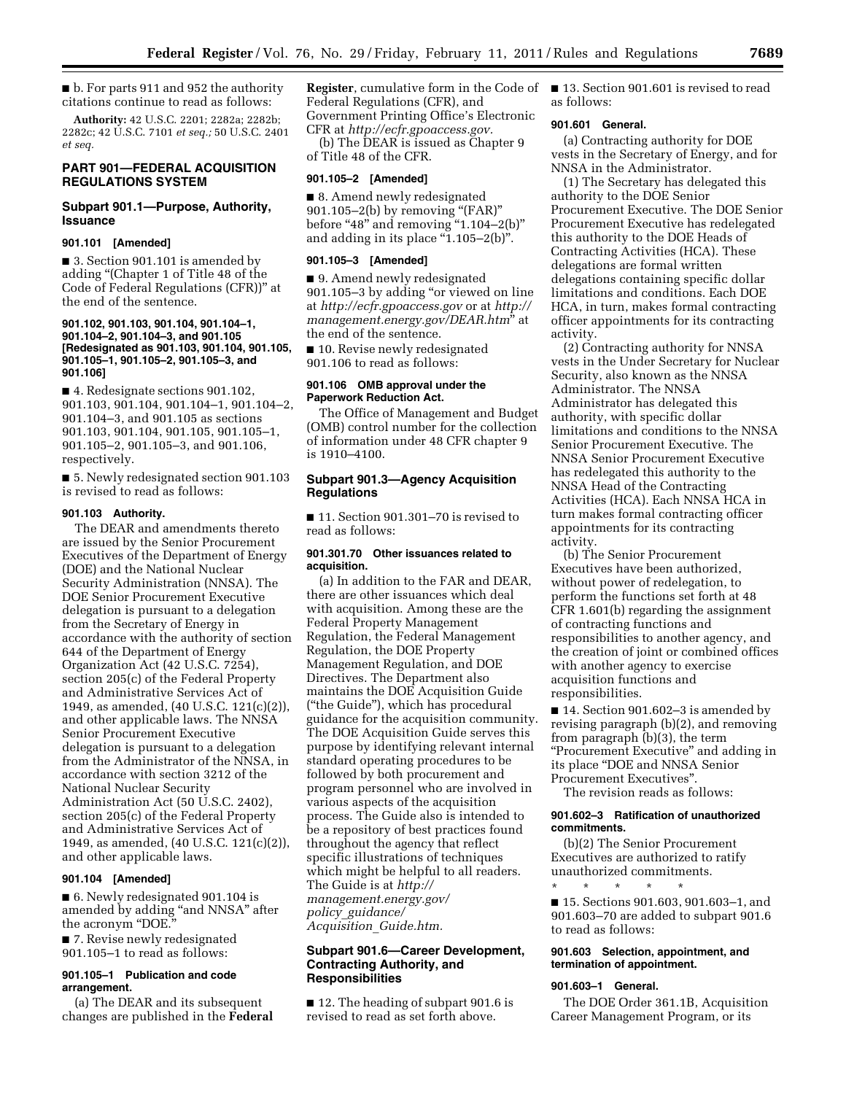■ b. For parts 911 and 952 the authority citations continue to read as follows:

**Authority:** 42 U.S.C. 2201; 2282a; 2282b; 2282c; 42 U.S.C. 7101 *et seq.;* 50 U.S.C. 2401 *et seq.* 

# **PART 901—FEDERAL ACQUISITION REGULATIONS SYSTEM**

### **Subpart 901.1—Purpose, Authority, Issuance**

### **901.101 [Amended]**

■ 3. Section 901.101 is amended by adding ''(Chapter 1 of Title 48 of the Code of Federal Regulations (CFR))'' at the end of the sentence.

### **901.102, 901.103, 901.104, 901.104–1, 901.104–2, 901.104–3, and 901.105 [Redesignated as 901.103, 901.104, 901.105, 901.105–1, 901.105–2, 901.105–3, and 901.106]**

■ 4. Redesignate sections 901.102, 901.103, 901.104, 901.104–1, 901.104–2, 901.104–3, and 901.105 as sections 901.103, 901.104, 901.105, 901.105–1, 901.105–2, 901.105–3, and 901.106, respectively.

■ 5. Newly redesignated section 901.103 is revised to read as follows:

### **901.103 Authority.**

The DEAR and amendments thereto are issued by the Senior Procurement Executives of the Department of Energy (DOE) and the National Nuclear Security Administration (NNSA). The DOE Senior Procurement Executive delegation is pursuant to a delegation from the Secretary of Energy in accordance with the authority of section 644 of the Department of Energy Organization Act (42 U.S.C. 7254), section 205(c) of the Federal Property and Administrative Services Act of 1949, as amended, (40 U.S.C. 121(c)(2)), and other applicable laws. The NNSA Senior Procurement Executive delegation is pursuant to a delegation from the Administrator of the NNSA, in accordance with section 3212 of the National Nuclear Security Administration Act (50 U.S.C. 2402), section 205(c) of the Federal Property and Administrative Services Act of 1949, as amended, (40 U.S.C. 121(c)(2)), and other applicable laws.

# **901.104 [Amended]**

■ 6. Newly redesignated 901.104 is amended by adding ''and NNSA'' after the acronym ''DOE.''

■ 7. Revise newly redesignated 901.105–1 to read as follows:

# **901.105–1 Publication and code arrangement.**

(a) The DEAR and its subsequent changes are published in the **Federal**  **Register**, cumulative form in the Code of Federal Regulations (CFR), and Government Printing Office's Electronic CFR at *[http://ecfr.gpoaccess.gov.](http://ecfr.gpoaccess.gov)* 

(b) The DEAR is issued as Chapter 9 of Title 48 of the CFR.

#### **901.105–2 [Amended]**

■ 8. Amend newly redesignated 901.105-2(b) by removing "(FAR)" before "48" and removing "1.104-2(b)" and adding in its place " $1.105-2(b)$ ".

#### **901.105–3 [Amended]**

■ 9. Amend newly redesignated 901.105–3 by adding ''or viewed on line at *<http://ecfr.gpoaccess.gov>*or at *[http://](http://management.energy.gov/DEAR.htm)  [management.energy.gov/DEAR.htm](http://management.energy.gov/DEAR.htm)*'' at the end of the sentence.

■ 10. Revise newly redesignated 901.106 to read as follows:

### **901.106 OMB approval under the Paperwork Reduction Act.**

The Office of Management and Budget (OMB) control number for the collection of information under 48 CFR chapter 9 is 1910–4100.

### **Subpart 901.3—Agency Acquisition Regulations**

■ 11. Section 901.301–70 is revised to read as follows:

### **901.301.70 Other issuances related to acquisition.**

(a) In addition to the FAR and DEAR, there are other issuances which deal with acquisition. Among these are the Federal Property Management Regulation, the Federal Management Regulation, the DOE Property Management Regulation, and DOE Directives. The Department also maintains the DOE Acquisition Guide (''the Guide''), which has procedural guidance for the acquisition community. The DOE Acquisition Guide serves this purpose by identifying relevant internal standard operating procedures to be followed by both procurement and program personnel who are involved in various aspects of the acquisition process. The Guide also is intended to be a repository of best practices found throughout the agency that reflect specific illustrations of techniques which might be helpful to all readers. The Guide is at *[http://](http://management.energy.gov/policy_guidance/Acquisition_Guide.htm)  [management.energy.gov/](http://management.energy.gov/policy_guidance/Acquisition_Guide.htm) policy*\_*[guidance/](http://management.energy.gov/policy_guidance/Acquisition_Guide.htm) [Acquisition](http://management.energy.gov/policy_guidance/Acquisition_Guide.htm)*\_*Guide.htm.* 

# **Subpart 901.6—Career Development, Contracting Authority, and Responsibilities**

■ 12. The heading of subpart 901.6 is revised to read as set forth above.

■ 13. Section 901.601 is revised to read as follows:

## **901.601 General.**

(a) Contracting authority for DOE vests in the Secretary of Energy, and for NNSA in the Administrator.

(1) The Secretary has delegated this authority to the DOE Senior Procurement Executive. The DOE Senior Procurement Executive has redelegated this authority to the DOE Heads of Contracting Activities (HCA). These delegations are formal written delegations containing specific dollar limitations and conditions. Each DOE HCA, in turn, makes formal contracting officer appointments for its contracting activity.

(2) Contracting authority for NNSA vests in the Under Secretary for Nuclear Security, also known as the NNSA Administrator. The NNSA Administrator has delegated this authority, with specific dollar limitations and conditions to the NNSA Senior Procurement Executive. The NNSA Senior Procurement Executive has redelegated this authority to the NNSA Head of the Contracting Activities (HCA). Each NNSA HCA in turn makes formal contracting officer appointments for its contracting activity.

(b) The Senior Procurement Executives have been authorized, without power of redelegation, to perform the functions set forth at 48 CFR 1.601(b) regarding the assignment of contracting functions and responsibilities to another agency, and the creation of joint or combined offices with another agency to exercise acquisition functions and responsibilities.

■ 14. Section 901.602–3 is amended by revising paragraph (b)(2), and removing from paragraph (b)(3), the term ''Procurement Executive'' and adding in its place ''DOE and NNSA Senior Procurement Executives''.

The revision reads as follows:

### **901.602–3 Ratification of unauthorized commitments.**

(b)(2) The Senior Procurement Executives are authorized to ratify unauthorized commitments.

\* \* \* \* \* ■ 15. Sections 901.603, 901.603-1, and 901.603–70 are added to subpart 901.6 to read as follows:

### **901.603 Selection, appointment, and termination of appointment.**

#### **901.603–1 General.**

The DOE Order 361.1B, Acquisition Career Management Program, or its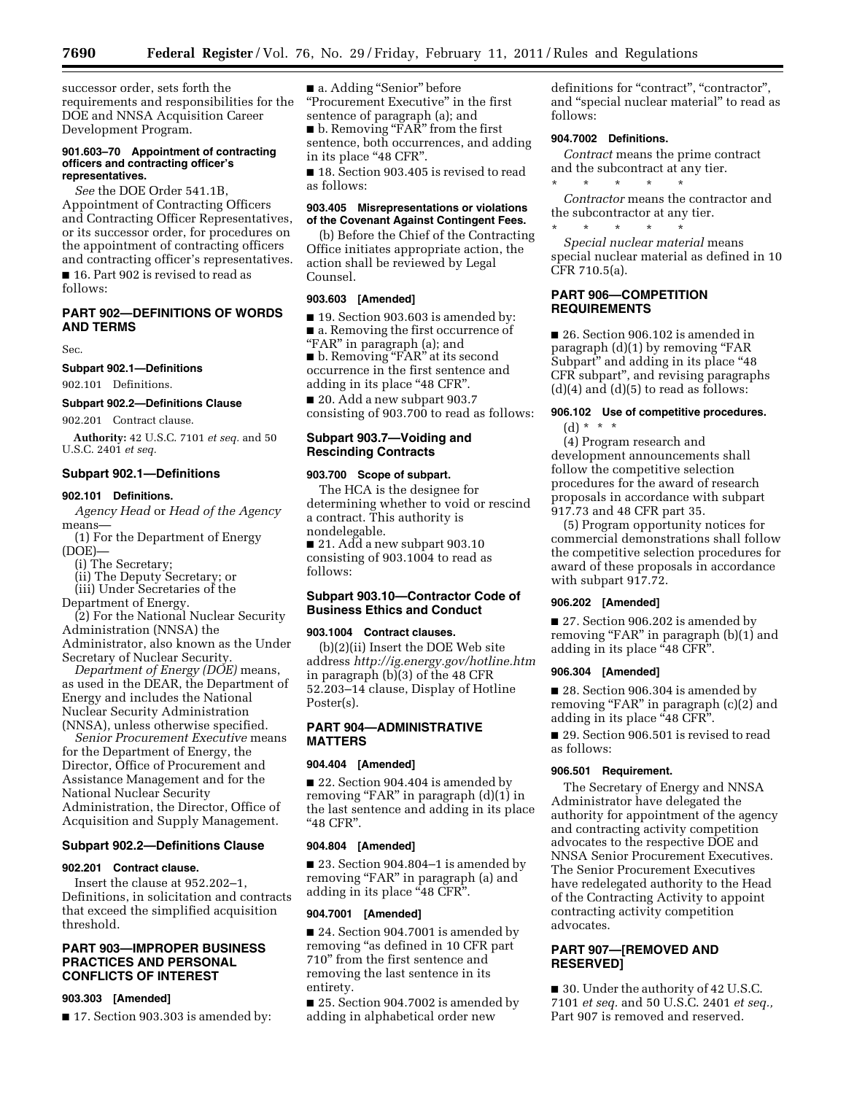successor order, sets forth the requirements and responsibilities for the DOE and NNSA Acquisition Career Development Program.

### **901.603–70 Appointment of contracting officers and contracting officer's representatives.**

*See* the DOE Order 541.1B, Appointment of Contracting Officers and Contracting Officer Representatives, or its successor order, for procedures on the appointment of contracting officers and contracting officer's representatives. ■ 16. Part 902 is revised to read as follows:

# **PART 902—DEFINITIONS OF WORDS AND TERMS**

Sec.

### **Subpart 902.1—Definitions**

902.101 Definitions.

#### **Subpart 902.2—Definitions Clause**

902.201 Contract clause.

**Authority:** 42 U.S.C. 7101 *et seq.* and 50 U.S.C. 2401 *et seq.* 

# **Subpart 902.1—Definitions**

# **902.101 Definitions.**

*Agency Head* or *Head of the Agency*  means—

(1) For the Department of Energy (DOE)—

(i) The Secretary;

(ii) The Deputy Secretary; or

(iii) Under Secretaries of the

Department of Energy.

(2) For the National Nuclear Security Administration (NNSA) the

Administrator, also known as the Under Secretary of Nuclear Security.

*Department of Energy (DOE)* means, as used in the DEAR, the Department of Energy and includes the National Nuclear Security Administration (NNSA), unless otherwise specified.

*Senior Procurement Executive* means for the Department of Energy, the Director, Office of Procurement and Assistance Management and for the National Nuclear Security Administration, the Director, Office of Acquisition and Supply Management.

### **Subpart 902.2—Definitions Clause**

# **902.201 Contract clause.**

Insert the clause at 952.202–1, Definitions, in solicitation and contracts that exceed the simplified acquisition threshold.

# **PART 903—IMPROPER BUSINESS PRACTICES AND PERSONAL CONFLICTS OF INTEREST**

#### **903.303 [Amended]**

■ 17. Section 903.303 is amended by:

■ a. Adding "Senior" before ''Procurement Executive'' in the first sentence of paragraph (a); and ■ b. Removing "FAR" from the first sentence, both occurrences, and adding

in its place "48 CFR".

■ 18. Section 903.405 is revised to read as follows:

# **903.405 Misrepresentations or violations of the Covenant Against Contingent Fees.**

(b) Before the Chief of the Contracting Office initiates appropriate action, the action shall be reviewed by Legal Counsel.

# **903.603 [Amended]**

■ 19. Section 903.603 is amended by: ■ a. Removing the first occurrence of

''FAR'' in paragraph (a); and ■ b. Removing "FAR" at its second occurrence in the first sentence and adding in its place "48 CFR".

■ 20. Add a new subpart 903.7 consisting of 903.700 to read as follows:

# **Subpart 903.7—Voiding and Rescinding Contracts**

### **903.700 Scope of subpart.**

The HCA is the designee for determining whether to void or rescind a contract. This authority is nondelegable.

■ 21. Add a new subpart 903.10 consisting of 903.1004 to read as follows:

# **Subpart 903.10—Contractor Code of Business Ethics and Conduct**

### **903.1004 Contract clauses.**

(b)(2)(ii) Insert the DOE Web site address *<http://ig.energy.gov/hotline.htm>* in paragraph (b)(3) of the 48 CFR 52.203–14 clause, Display of Hotline Poster(s).

# **PART 904—ADMINISTRATIVE MATTERS**

#### **904.404 [Amended]**

■ 22. Section 904.404 is amended by removing "FAR" in paragraph (d)(1) in the last sentence and adding in its place ''48 CFR''.

#### **904.804 [Amended]**

■ 23. Section 904.804–1 is amended by removing "FAR" in paragraph (a) and adding in its place "48 CFR".

#### **904.7001 [Amended]**

■ 24. Section 904.7001 is amended by removing "as defined in 10 CFR part 710'' from the first sentence and removing the last sentence in its entirety.

■ 25. Section 904.7002 is amended by adding in alphabetical order new

definitions for "contract", "contractor", and ''special nuclear material'' to read as follows:

# **904.7002 Definitions.**

*Contract* means the prime contract and the subcontract at any tier.

\* \* \* \* \* *Contractor* means the contractor and the subcontractor at any tier.

\* \* \* \* \* *Special nuclear material* means special nuclear material as defined in 10 CFR 710.5(a).

# **PART 906—COMPETITION REQUIREMENTS**

■ 26. Section 906.102 is amended in paragraph  $(d)(1)$  by removing "FAR Subpart" and adding in its place "48 CFR subpart'', and revising paragraphs  $(d)(4)$  and  $(d)(5)$  to read as follows:

# **906.102 Use of competitive procedures.**

(d) \* \* \*

(4) Program research and development announcements shall follow the competitive selection procedures for the award of research proposals in accordance with subpart 917.73 and 48 CFR part 35.

(5) Program opportunity notices for commercial demonstrations shall follow the competitive selection procedures for award of these proposals in accordance with subpart 917.72.

### **906.202 [Amended]**

■ 27. Section 906.202 is amended by removing "FAR" in paragraph (b)(1) and adding in its place "48 CFR".

### **906.304 [Amended]**

■ 28. Section 906.304 is amended by removing "FAR" in paragraph (c)(2) and adding in its place "48 CFR".

■ 29. Section 906.501 is revised to read as follows:

# **906.501 Requirement.**

The Secretary of Energy and NNSA Administrator have delegated the authority for appointment of the agency and contracting activity competition advocates to the respective DOE and NNSA Senior Procurement Executives. The Senior Procurement Executives have redelegated authority to the Head of the Contracting Activity to appoint contracting activity competition advocates.

# **PART 907—[REMOVED AND RESERVED]**

■ 30. Under the authority of 42 U.S.C. 7101 *et seq.* and 50 U.S.C. 2401 *et seq.,*  Part 907 is removed and reserved.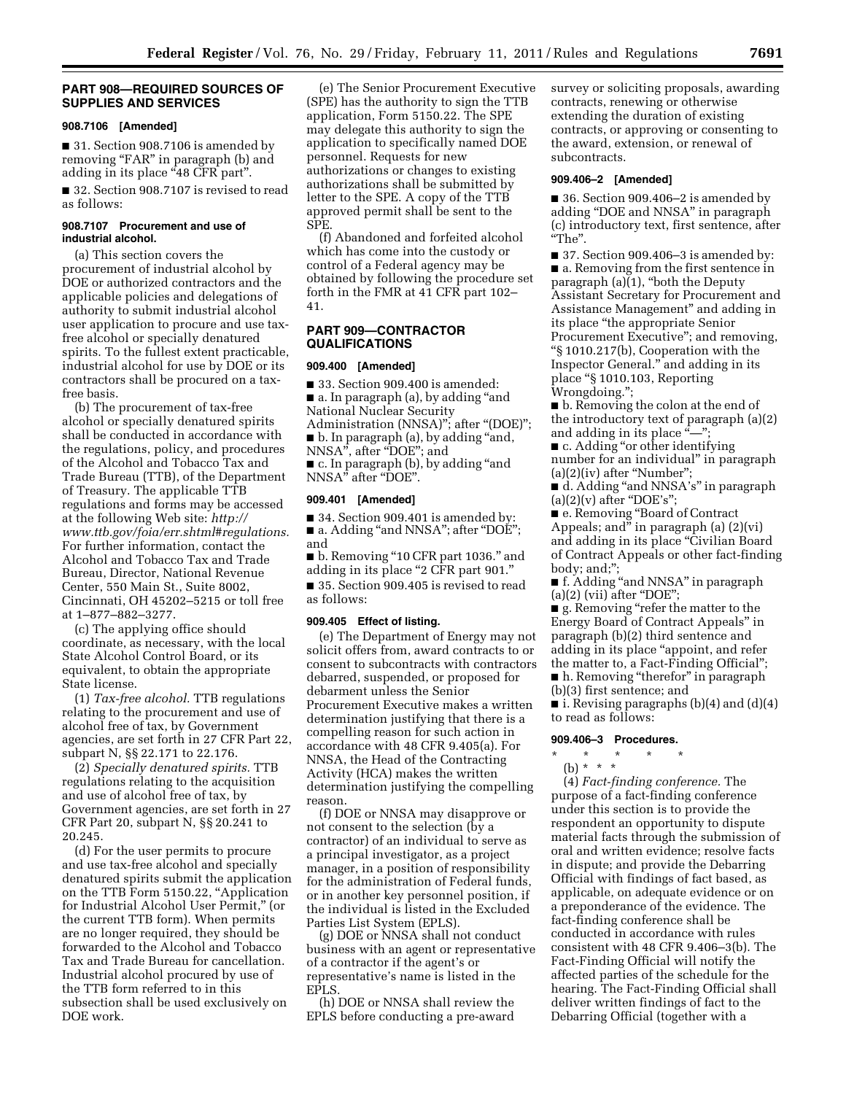# **PART 908—REQUIRED SOURCES OF SUPPLIES AND SERVICES**

#### **908.7106 [Amended]**

■ 31. Section 908.7106 is amended by removing "FAR" in paragraph (b) and adding in its place "48 CFR part".

■ 32. Section 908.7107 is revised to read as follows:

### **908.7107 Procurement and use of industrial alcohol.**

(a) This section covers the procurement of industrial alcohol by DOE or authorized contractors and the applicable policies and delegations of authority to submit industrial alcohol user application to procure and use taxfree alcohol or specially denatured spirits. To the fullest extent practicable, industrial alcohol for use by DOE or its contractors shall be procured on a taxfree basis.

(b) The procurement of tax-free alcohol or specially denatured spirits shall be conducted in accordance with the regulations, policy, and procedures of the Alcohol and Tobacco Tax and Trade Bureau (TTB), of the Department of Treasury. The applicable TTB regulations and forms may be accessed at the following Web site: *[http://](http://www.ttb.gov/foia/err.shtml#regulations) [www.ttb.gov/foia/err.shtml#regulations.](http://www.ttb.gov/foia/err.shtml#regulations)*  For further information, contact the Alcohol and Tobacco Tax and Trade Bureau, Director, National Revenue Center, 550 Main St., Suite 8002, Cincinnati, OH 45202–5215 or toll free at 1–877–882–3277.

(c) The applying office should coordinate, as necessary, with the local State Alcohol Control Board, or its equivalent, to obtain the appropriate State license.

(1) *Tax-free alcohol.* TTB regulations relating to the procurement and use of alcohol free of tax, by Government agencies, are set forth in 27 CFR Part 22, subpart N, §§ 22.171 to 22.176.

(2) *Specially denatured spirits.* TTB regulations relating to the acquisition and use of alcohol free of tax, by Government agencies, are set forth in 27 CFR Part 20, subpart N, §§ 20.241 to 20.245.

(d) For the user permits to procure and use tax-free alcohol and specially denatured spirits submit the application on the TTB Form 5150.22, ''Application for Industrial Alcohol User Permit,'' (or the current TTB form). When permits are no longer required, they should be forwarded to the Alcohol and Tobacco Tax and Trade Bureau for cancellation. Industrial alcohol procured by use of the TTB form referred to in this subsection shall be used exclusively on DOE work.

(e) The Senior Procurement Executive (SPE) has the authority to sign the TTB application, Form 5150.22. The SPE may delegate this authority to sign the application to specifically named DOE personnel. Requests for new authorizations or changes to existing authorizations shall be submitted by letter to the SPE. A copy of the TTB approved permit shall be sent to the SPE.

(f) Abandoned and forfeited alcohol which has come into the custody or control of a Federal agency may be obtained by following the procedure set forth in the FMR at 41 CFR part 102– 41.

### **PART 909—CONTRACTOR QUALIFICATIONS**

#### **909.400 [Amended]**

■ 33. Section 909.400 is amended: ■ a. In paragraph (a), by adding "and National Nuclear Security Administration (NNSA)"; after "(DOE)"; ■ b. In paragraph (a), by adding ''and, NNSA", after "DOE"; and ■ c. In paragraph (b), by adding ''and

NNSA'' after ''DOE''.

# **909.401 [Amended]**

■ 34. Section 909.401 is amended by: ■ a. Adding "and NNSA"; after "DOE"; and

■ b. Removing ''10 CFR part 1036.'' and adding in its place ''2 CFR part 901.''

■ 35. Section 909.405 is revised to read as follows:

# **909.405 Effect of listing.**

(e) The Department of Energy may not solicit offers from, award contracts to or consent to subcontracts with contractors debarred, suspended, or proposed for debarment unless the Senior Procurement Executive makes a written determination justifying that there is a compelling reason for such action in accordance with 48 CFR 9.405(a). For NNSA, the Head of the Contracting Activity (HCA) makes the written determination justifying the compelling reason.

(f) DOE or NNSA may disapprove or not consent to the selection (by a contractor) of an individual to serve as a principal investigator, as a project manager, in a position of responsibility for the administration of Federal funds, or in another key personnel position, if the individual is listed in the Excluded Parties List System (EPLS).

(g) DOE or NNSA shall not conduct business with an agent or representative of a contractor if the agent's or representative's name is listed in the EPLS.

(h) DOE or NNSA shall review the EPLS before conducting a pre-award survey or soliciting proposals, awarding contracts, renewing or otherwise extending the duration of existing contracts, or approving or consenting to the award, extension, or renewal of subcontracts.

### **909.406–2 [Amended]**

■ 36. Section 909.406–2 is amended by adding ''DOE and NNSA'' in paragraph (c) introductory text, first sentence, after ''The''.

■ 37. Section 909.406–3 is amended by: ■ a. Removing from the first sentence in paragraph  $(a)(1)$ , "both the Deputy Assistant Secretary for Procurement and Assistance Management'' and adding in its place ''the appropriate Senior Procurement Executive''; and removing, ''§ 1010.217(b), Cooperation with the Inspector General.'' and adding in its place ''§ 1010.103, Reporting Wrongdoing.'';

■ b. Removing the colon at the end of the introductory text of paragraph (a)(2) and adding in its place " $"$ ;

■ c. Adding "or other identifying number for an individual'' in paragraph  $(a)(2)(iv)$  after "Number";

■ d. Adding "and NNSA's" in paragraph  $(a)(2)(v)$  after "DOE's";

■ e. Removing "Board of Contract Appeals; and'' in paragraph (a) (2)(vi) and adding in its place "Civilian Board of Contract Appeals or other fact-finding body; and;'';

■ f. Adding "and NNSA" in paragraph  $(a)(2)$  (vii) after "DOE";

■ g. Removing "refer the matter to the Energy Board of Contract Appeals'' in paragraph (b)(2) third sentence and adding in its place ''appoint, and refer the matter to, a Fact-Finding Official''; ■ h. Removing "therefor" in paragraph

(b)(3) first sentence; and

 $\blacksquare$  i. Revising paragraphs (b)(4) and (d)(4) to read as follows:

### **909.406–3 Procedures.**

- \* \* \* \* \*
	- (b) \* \* \*

(4) *Fact-finding conference.* The purpose of a fact-finding conference under this section is to provide the respondent an opportunity to dispute material facts through the submission of oral and written evidence; resolve facts in dispute; and provide the Debarring Official with findings of fact based, as applicable, on adequate evidence or on a preponderance of the evidence. The fact-finding conference shall be conducted in accordance with rules consistent with 48 CFR 9.406–3(b). The Fact-Finding Official will notify the affected parties of the schedule for the hearing. The Fact-Finding Official shall deliver written findings of fact to the Debarring Official (together with a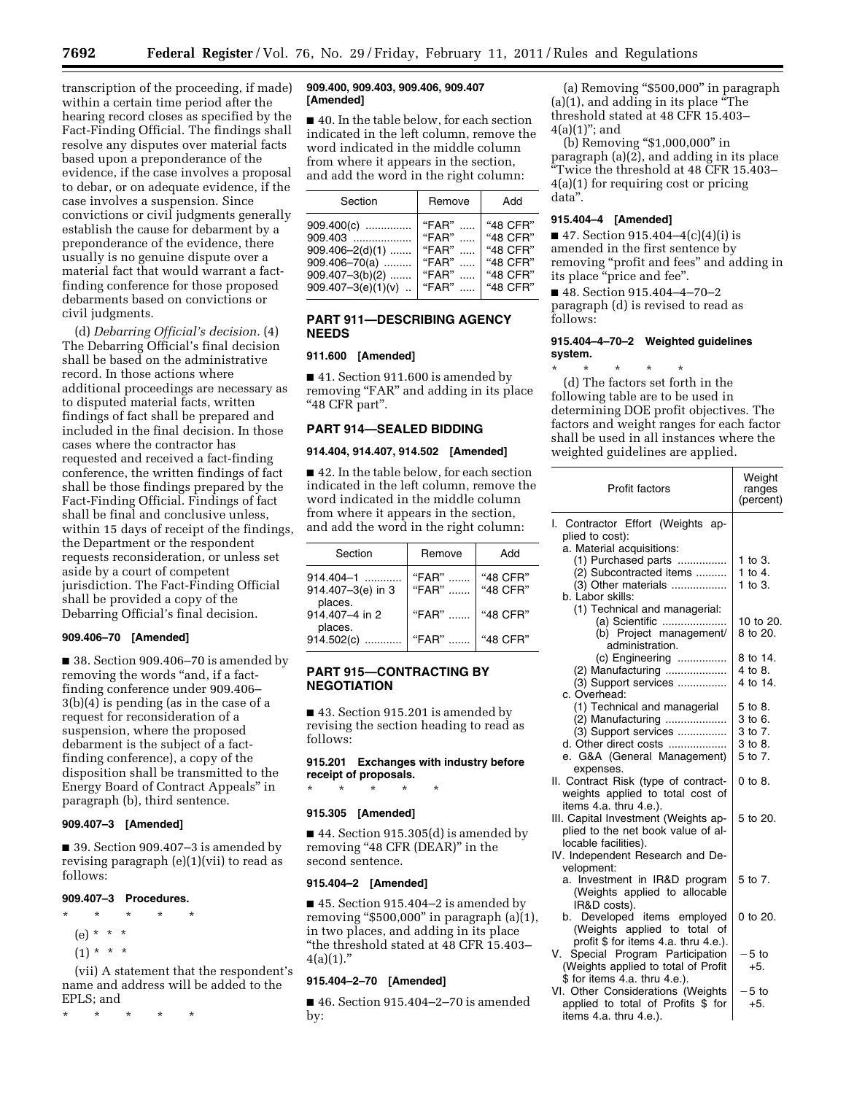transcription of the proceeding, if made) within a certain time period after the hearing record closes as specified by the Fact-Finding Official. The findings shall resolve any disputes over material facts based upon a preponderance of the evidence, if the case involves a proposal to debar, or on adequate evidence, if the case involves a suspension. Since convictions or civil judgments generally establish the cause for debarment by a preponderance of the evidence, there usually is no genuine dispute over a material fact that would warrant a factfinding conference for those proposed debarments based on convictions or civil judgments.

(d) *Debarring Official's decision.* (4) The Debarring Official's final decision shall be based on the administrative record. In those actions where additional proceedings are necessary as to disputed material facts, written findings of fact shall be prepared and included in the final decision. In those cases where the contractor has requested and received a fact-finding conference, the written findings of fact shall be those findings prepared by the Fact-Finding Official. Findings of fact shall be final and conclusive unless, within 15 days of receipt of the findings, the Department or the respondent requests reconsideration, or unless set aside by a court of competent jurisdiction. The Fact-Finding Official shall be provided a copy of the Debarring Official's final decision.

### **909.406–70 [Amended]**

■ 38. Section 909.406–70 is amended by removing the words "and, if a factfinding conference under 909.406– 3(b)(4) is pending (as in the case of a request for reconsideration of a suspension, where the proposed debarment is the subject of a factfinding conference), a copy of the disposition shall be transmitted to the Energy Board of Contract Appeals'' in paragraph (b), third sentence.

# **909.407–3 [Amended]**

■ 39. Section 909.407–3 is amended by revising paragraph (e)(1)(vii) to read as follows:

### **909.407–3 Procedures.**

\* \* \* \* \*

- (e) \* \* \*
- $(1) * * * *$

(vii) A statement that the respondent's name and address will be added to the EPLS; and

\* \* \* \* \*

### **909.400, 909.403, 909.406, 909.407 [Amended]**

■ 40. In the table below, for each section indicated in the left column, remove the word indicated in the middle column from where it appears in the section, and add the word in the right column:

| Section                                                                                                            | Remove                                                   | Add                                                                  |
|--------------------------------------------------------------------------------------------------------------------|----------------------------------------------------------|----------------------------------------------------------------------|
| 909.400(c)<br>909.403<br>$909.406 - 2(d)(1)$<br>$909.406 - 70(a)$<br>$909.407 - 3(b)(2)$<br>$909.407 - 3(e)(1)(v)$ | " $FAR"$<br>"FAR"<br>"FAR"<br>"FAR"<br>"FAR"<br>" $FAR"$ | "48 CFR"<br>"48 CFR"<br>"48 CFR"<br>"48 CFR"<br>"48 CFR"<br>"48 CFR" |
|                                                                                                                    |                                                          |                                                                      |

# **PART 911—DESCRIBING AGENCY NEEDS**

# **911.600 [Amended]**

■ 41. Section 911.600 is amended by removing "FAR" and adding in its place "48 CFR part".

# **PART 914—SEALED BIDDING**

# **914.404, 914.407, 914.502 [Amended]**

■ 42. In the table below, for each section indicated in the left column, remove the word indicated in the middle column from where it appears in the section, and add the word in the right column:

| Section                              | Remove            | Add                  |
|--------------------------------------|-------------------|----------------------|
| $914.404 - 1$<br>914.407-3(e) in 3   | " $FAR"$<br>"FAR" | "48 CFR"<br>"48 CFR" |
| places.<br>914,407-4 in 2<br>places. | "FAR"             | "48 CFR"             |
| 914.502(c)                           | "FAR"             | "48 CFR"             |

# **PART 915—CONTRACTING BY NEGOTIATION**

■ 43. Section 915.201 is amended by revising the section heading to read as follows:

**915.201 Exchanges with industry before receipt of proposals.** 

### **915.305 [Amended]**

\* \* \* \* \*

■ 44. Section 915.305(d) is amended by removing "48 CFR (DEAR)" in the second sentence.

### **915.404–2 [Amended]**

■ 45. Section 915.404–2 is amended by removing " $$500,000"$  in paragraph (a)(1), in two places, and adding in its place ''the threshold stated at 48 CFR 15.403–  $4(a)(1)$ ."

### **915.404–2–70 [Amended]**

■ 46. Section 915.404-2-70 is amended by:

(a) Removing ''\$500,000'' in paragraph (a)(1), and adding in its place ''The threshold stated at 48 CFR 15.403–  $4(a)(1)$ "; and

(b) Removing ''\$1,000,000'' in paragraph (a)(2), and adding in its place ''Twice the threshold at 48 CFR 15.403– 4(a)(1) for requiring cost or pricing data''.

# **915.404–4 [Amended]**

 $\blacksquare$  47. Section 915.404–4(c)(4)(i) is amended in the first sentence by removing ''profit and fees'' and adding in its place "price and fee".

■ 48. Section 915.404-4-70-2 paragraph (d) is revised to read as follows:

# **915.404–4–70–2 Weighted guidelines system.**

\* \* \* \* \* (d) The factors set forth in the following table are to be used in determining DOE profit objectives. The factors and weight ranges for each factor shall be used in all instances where the weighted guidelines are applied.

| <b>Profit factors</b>                                | Weight<br>ranges<br>(percent) |
|------------------------------------------------------|-------------------------------|
| I. Contractor Effort (Weights ap-<br>plied to cost): |                               |
| a. Material acquisitions:                            |                               |
| (1) Purchased parts                                  | 1 to 3.                       |
| (2) Subcontracted items                              | 1 to 4.                       |
| (3) Other materials                                  | $1$ to $3$ .                  |
| b. Labor skills:                                     |                               |
| (1) Technical and managerial:                        |                               |
| (a) Scientific                                       | 10 to 20.                     |
| (b) Project management/<br>administration.           | 8 to 20.                      |
| (c) Engineering                                      | 8 to 14.                      |
| (2) Manufacturing                                    | 4 to 8.                       |
| (3) Support services                                 | 4 to 14.                      |
| c. Overhead:                                         |                               |
| (1) Technical and managerial                         | 5 to 8.                       |
| (2) Manufacturing                                    | 3 to 6.                       |
| (3) Support services                                 | 3 to 7.                       |
| d. Other direct costs                                | 3 to 8.                       |
| e. G&A (General Management)                          | 5 to 7.                       |
| expenses.                                            |                               |
| II. Contract Risk (type of contract-                 | 0 to 8.                       |
| weights applied to total cost of                     |                               |
| items 4.a. thru 4.e.).                               |                               |
| III. Capital Investment (Weights ap-                 | 5 to 20.                      |
| plied to the net book value of al-                   |                               |
| locable facilities).                                 |                               |
| IV. Independent Research and De-                     |                               |
| velopment:                                           |                               |
| a. Investment in IR&D program                        | 5 to 7.                       |
| (Weights applied to allocable                        |                               |
| IR&D costs).                                         |                               |
| b. Developed items employed                          | 0 to 20.                      |
| (Weights applied to total of                         |                               |
| profit \$ for items 4.a. thru 4.e.).                 |                               |
| V.<br>Special Program Participation                  | $-5$ to                       |
| (Weights applied to total of Profit                  | +5.                           |
| \$ for items 4.a. thru 4.e.).                        |                               |
| VI. Other Considerations (Weights                    | $-5$ to                       |
| applied to total of Profits \$ for                   | $+5.$                         |

items 4.a. thru 4.e.).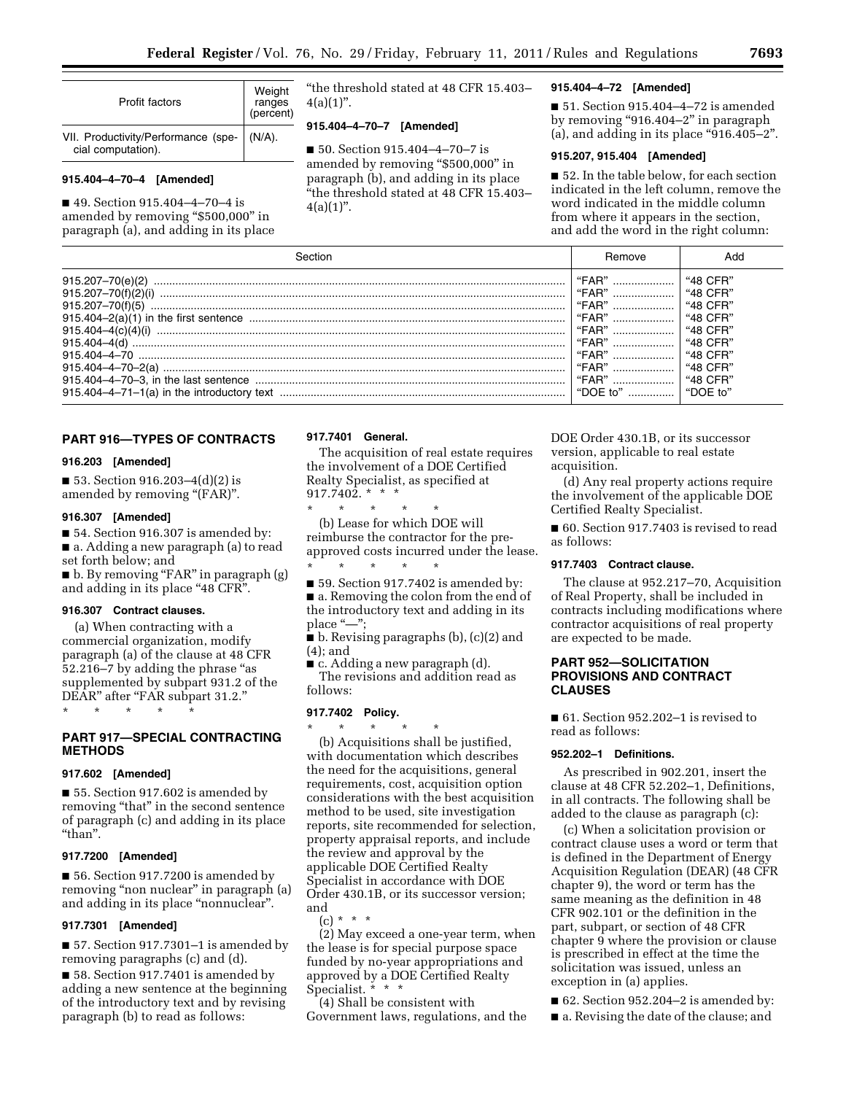| Profit factors                                            | Weight<br>ranges<br>(percent) |
|-----------------------------------------------------------|-------------------------------|
| VII. Productivity/Performance (spe-<br>cial computation). | $(N/A)$ .                     |

# **915.404–4–70–4 [Amended]**

■ 49. Section 915.404–4–70–4 is amended by removing "\$500,000" in paragraph (a), and adding in its place ''the threshold stated at 48 CFR 15.403–  $4(a)(1)$ ".

# **915.404–4–70–7 [Amended]**

■ 50. Section 915.404-4-70-7 is amended by removing ''\$500,000'' in paragraph (b), and adding in its place ''the threshold stated at 48 CFR 15.403–  $4(a)(1)$ ".

### **915.404–4–72 [Amended]**

■ 51. Section 915.404–4–72 is amended by removing ''916.404–2'' in paragraph  $(a)$ , and adding in its place "916.405-2".

# **915.207, 915.404 [Amended]**

■ 52. In the table below, for each section indicated in the left column, remove the word indicated in the middle column from where it appears in the section, and add the word in the right column:

|                                                                                                                                                                                            | Kemove                                                                                    |                                                                                                                                               |
|--------------------------------------------------------------------------------------------------------------------------------------------------------------------------------------------|-------------------------------------------------------------------------------------------|-----------------------------------------------------------------------------------------------------------------------------------------------|
| 915.207-70(e)(2)<br>$915,207 - 70(f)(5)$<br>$915.404 - 4(c)(4)(i)$<br>915.404-4(d)<br>$915404 - 4 - 70$<br>$915.404 - 4 - 70 - 2(a)$<br>915.404 $-4$ -71 $-1$ (a) in the introductory text | "FAR"<br>"FAR"<br>"FAR"<br>"FAR"<br>"FAR"<br>"FAR"<br>"FAR"<br>"FAR"<br>"FAR"<br>"DOF to" | "48 CFR<br>"48 CFR'<br>$"48$ CFR $"$<br>$"48$ CFR'<br>$"48$ CFR $"$<br>$"48$ CFR $"$<br>$"48$ CFR"<br>$"48$ CFR"<br>$"48 \; CFR"$<br>"DOF to" |

# **PART 916—TYPES OF CONTRACTS**

### **916.203 [Amended]**

■ 53. Section 916.203–4(d)(2) is amended by removing "(FAR)".

### **916.307 [Amended]**

■ 54. Section 916.307 is amended by: ■ a. Adding a new paragraph (a) to read set forth below; and ■ b. By removing "FAR" in paragraph (g)

and adding in its place "48 CFR".

### **916.307 Contract clauses.**

(a) When contracting with a commercial organization, modify paragraph (a) of the clause at 48 CFR 52.216–7 by adding the phrase ''as supplemented by subpart 931.2 of the DEAR" after "FAR subpart 31.2."

\* \* \* \* \*

# **PART 917—SPECIAL CONTRACTING METHODS**

### **917.602 [Amended]**

■ 55. Section 917.602 is amended by removing "that" in the second sentence of paragraph (c) and adding in its place "than".

# **917.7200 [Amended]**

■ 56. Section 917.7200 is amended by removing "non nuclear" in paragraph (a) and adding in its place "nonnuclear".

# **917.7301 [Amended]**

■ 57. Section 917.7301–1 is amended by removing paragraphs (c) and (d).

■ 58. Section 917.7401 is amended by adding a new sentence at the beginning of the introductory text and by revising paragraph (b) to read as follows:

#### **917.7401 General.**

The acquisition of real estate requires the involvement of a DOE Certified Realty Specialist, as specified at 917.7402. \* \* \*

\* \* \* \* \* (b) Lease for which DOE will reimburse the contractor for the preapproved costs incurred under the lease.

\* \* \* \* \* ■ 59. Section 917.7402 is amended by:

■ a. Removing the colon from the end of the introductory text and adding in its place "-":

■ b. Revising paragraphs (b), (c)(2) and (4); and

■ c. Adding a new paragraph (d). The revisions and addition read as follows:

# **917.7402 Policy.**

\* \* \* \* \* (b) Acquisitions shall be justified, with documentation which describes the need for the acquisitions, general requirements, cost, acquisition option considerations with the best acquisition method to be used, site investigation reports, site recommended for selection, property appraisal reports, and include the review and approval by the applicable DOE Certified Realty Specialist in accordance with DOE Order 430.1B, or its successor version; and

 $(c) * * * *$ 

(2) May exceed a one-year term, when the lease is for special purpose space funded by no-year appropriations and approved by a DOE Certified Realty Specialist. \* \* \*

(4) Shall be consistent with Government laws, regulations, and the DOE Order 430.1B, or its successor version, applicable to real estate acquisition.

(d) Any real property actions require the involvement of the applicable DOE Certified Realty Specialist.

■ 60. Section 917.7403 is revised to read as follows:

# **917.7403 Contract clause.**

The clause at 952.217–70, Acquisition of Real Property, shall be included in contracts including modifications where contractor acquisitions of real property are expected to be made.

# **PART 952—SOLICITATION PROVISIONS AND CONTRACT CLAUSES**

■ 61. Section 952.202–1 is revised to read as follows:

### **952.202–1 Definitions.**

As prescribed in 902.201, insert the clause at 48 CFR 52.202–1, Definitions, in all contracts. The following shall be added to the clause as paragraph (c):

(c) When a solicitation provision or contract clause uses a word or term that is defined in the Department of Energy Acquisition Regulation (DEAR) (48 CFR chapter 9), the word or term has the same meaning as the definition in 48 CFR 902.101 or the definition in the part, subpart, or section of 48 CFR chapter 9 where the provision or clause is prescribed in effect at the time the solicitation was issued, unless an exception in (a) applies.

■ 62. Section 952.204–2 is amended by:

■ a. Revising the date of the clause; and